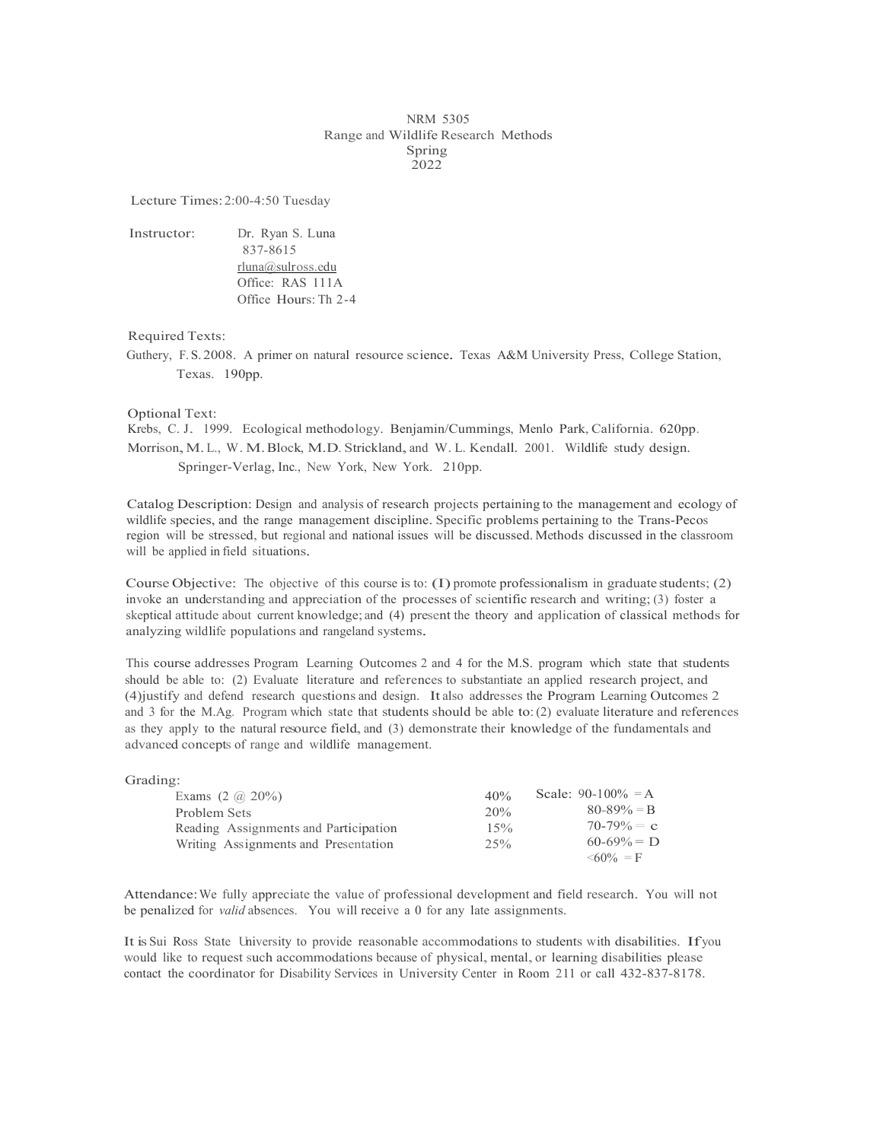## NRM 5305 Range and Wildlife Research Methods Spring 2022

Lecture Times:2:00-4:50 Tuesday

Instructor: Dr. Ryan S. Luna 837-8615 rluna@sulross.edu Office: RAS 111A Office Hours: Th 2-4

Required Texts:

Guthery, F. S. 2008. <sup>A</sup> primer on natural resource science. Texas A&M University Press, College Station, Texas. 190pp.

Optional Text:

Krebs, C. J. 1999. Ecological methodology. Benjamin/Cummings, Menlo Park, California. 620pp. Morrison,M. L., W.M.Block, M.D. Strickland, and W. L. Kendall. 2001. Wildlife study design. Springer-Verlag, Inc., New York, New York. 210pp.

Catalog Description: Design and analysis of research projects pertaining to the management and ecology of wildlife species, and the range management discipline. Specific problems pertaining to the Trans-Pecos region will be stressed, but regional and national issues will be discussed. Methods discussed in the classroom will be applied in field situations.

Course Objective: The objective of this course is to: (I) promote professionalism in graduate students; (2) invoke an understanding and appreciation of the processes of scientific research and writing; (3) foster a skeptical attitude about current knowledge; and (4) present the theory and application of classical methods for analyzing wildlife populations and rangeland systems.

This course addresses Program Learning Outcomes 2 and 4 for the M.S. program which state that students should be able to: (2) Evaluate literature and references to substantiate an applied research project, and (4)justify and defend research questions and design. It also addresses the Program Learning Outcomes 2 and 3 for the M.Ag. Program which state that students should be able to:(2) evaluate literature and references as they apply to the natural resource field, and (3) demonstrate their knowledge of the fundamentals and advanced concepts of range and wildlife management.

| Grading:                              |     |                       |
|---------------------------------------|-----|-----------------------|
| Exams $(2 \omega 20\%)$               | 40% | Scale: $90-100\% = A$ |
| Problem Sets                          | 20% | $80 - 89\% = B$       |
| Reading Assignments and Participation | 15% | $70-79\% = c$         |
| Writing Assignments and Presentation  | 25% | $60-69\% = D$         |
|                                       |     | $\leq 60\% = F$       |

Attendance:We fully appreciate the value of professional development and field research. You will not be penalized for *valid* absences. You will receive a 0 for any late assignments.

It is Sui Ross State University to provide reasonable accommodations to students with disabilities. Ifyou would like to request such accommodations because of physical, mental, or learning disabilities please contact the coordinator for Disability Services in University Center in Room 211 or call 432-837-8178.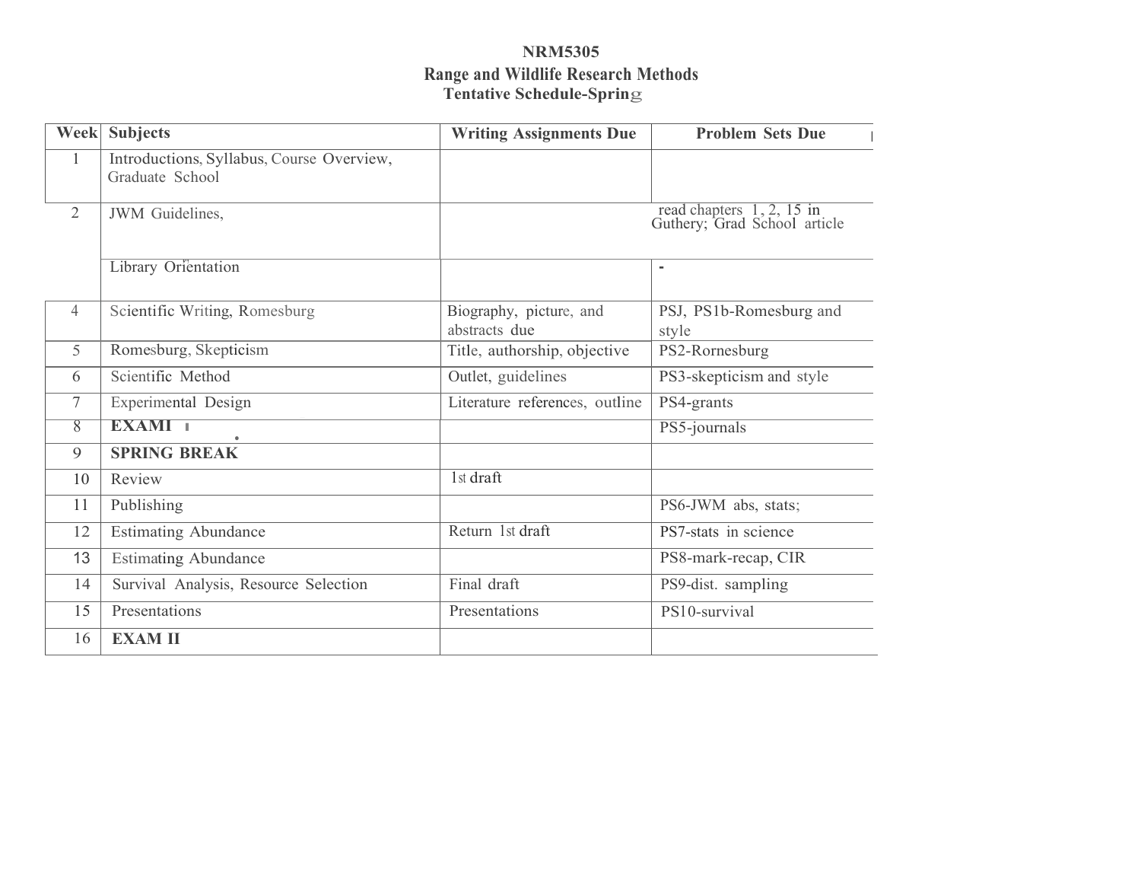# **NRM5305 Range and Wildlife Research Methods Tentative Schedule-Sprin**g

|                | <b>Week</b> Subjects                                         | <b>Writing Assignments Due</b>                            | <b>Problem Sets Due</b>          |
|----------------|--------------------------------------------------------------|-----------------------------------------------------------|----------------------------------|
| $\mathbf{1}$   | Introductions, Syllabus, Course Overview,<br>Graduate School |                                                           |                                  |
| $\overline{2}$ | JWM Guidelines,                                              | read chapters 1, 2, 15 in<br>Guthery; Grad School article |                                  |
|                | Library Orientation                                          |                                                           | $\blacksquare$                   |
| 4              | Scientific Writing, Romesburg                                | Biography, picture, and<br>abstracts due                  | PSJ, PS1b-Romesburg and<br>style |
| 5              | Romesburg, Skepticism                                        | Title, authorship, objective                              | PS2-Rornesburg                   |
| 6              | Scientific Method                                            | Outlet, guidelines                                        | PS3-skepticism and style         |
| 7              | Experimental Design                                          | Literature references, outline                            | PS4-grants                       |
| $\overline{8}$ | EXAMI 1                                                      |                                                           | PS5-journals                     |
| 9              | <b>SPRING BREAK</b>                                          |                                                           |                                  |
| 10             | Review                                                       | 1st draft                                                 |                                  |
| 11             | Publishing                                                   |                                                           | PS6-JWM abs, stats;              |
| 12             | <b>Estimating Abundance</b>                                  | Return 1st draft                                          | PS7-stats in science             |
| 13             | <b>Estimating Abundance</b>                                  |                                                           | PS8-mark-recap, CIR              |
| 14             | Survival Analysis, Resource Selection                        | Final draft                                               | PS9-dist. sampling               |
| 15             | Presentations                                                | Presentations                                             | PS10-survival                    |
| 16             | <b>EXAM II</b>                                               |                                                           |                                  |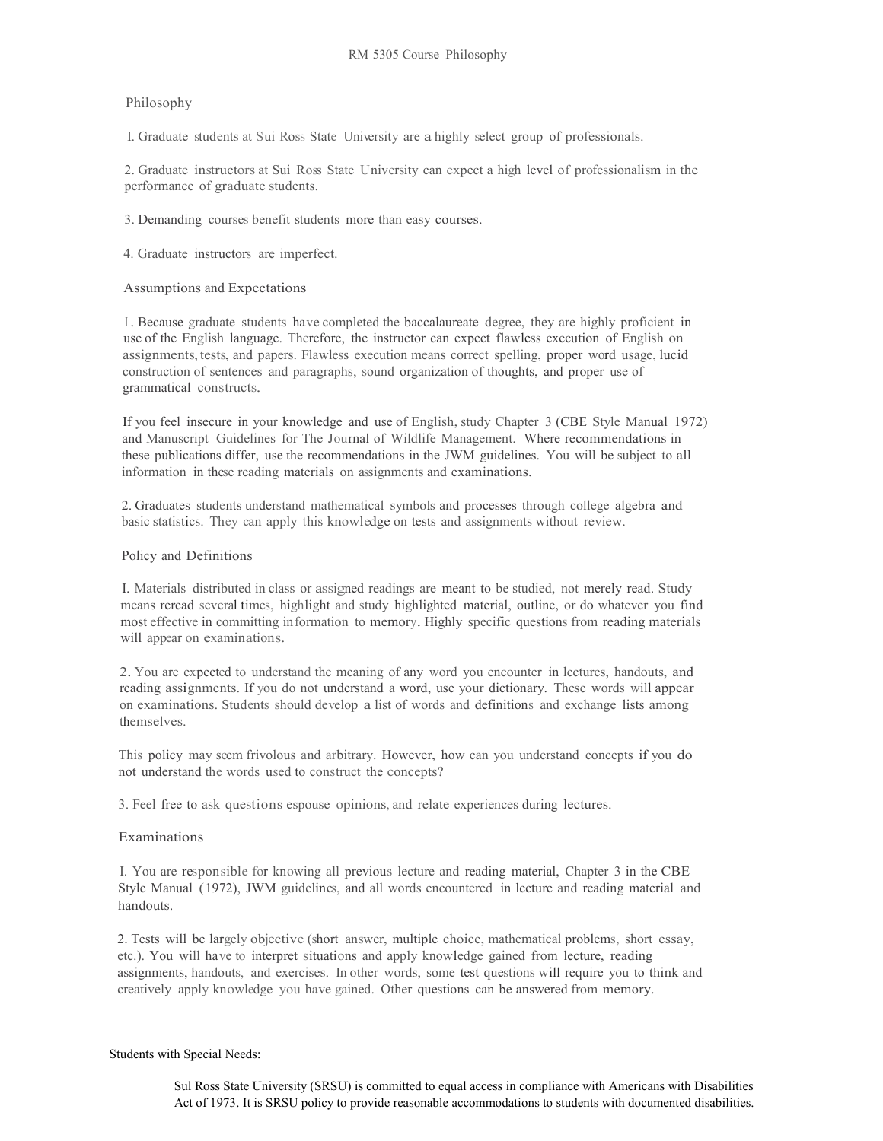# Philosophy

I. Graduate students at Sui Ross State University are a highly select group of professionals.

2. Graduate instructors at Sui Ross State University can expect a high level of professionalism in the performance of graduate students.

3. Demanding courses benefit students more than easy courses.

4. Graduate instructors are imperfect.

Assumptions and Expectations

<sup>I</sup> . Because graduate students have completed the baccalaureate degree, they are highly proficient in use of the English language. Therefore, the instructor can expect flawless execution of English on assignments, tests, and papers. Flawless execution means correct spelling, proper word usage, lucid construction of sentences and paragraphs, sound organization of thoughts, and proper use of grammatical constructs.

If you feel insecure in your knowledge and use of English, study Chapter 3 (CBE Style Manual 1972) and Manuscript Guidelines for The Journal of Wildlife Management. Where recommendations in these publications differ, use the recommendations in the JWM guidelines. You will be subject to all information in these reading materials on assignments and examinations.

2. Graduates students understand mathematical symbols and processes through college algebra and basic statistics. They can apply this knowledge on tests and assignments without review.

### Policy and Definitions

I. Materials distributed in class or assigned readings are meant to be studied, not merely read. Study means reread several times, highlight and study highlighted material, outline, or do whatever you find most effective in committing information to memory. Highly specific questions from reading materials will appear on examinations.

2. You are expected to understand the meaning of any word you encounter in lectures, handouts, and reading assignments. If you do not understand a word, use your dictionary. These words will appear on examinations. Students should develop a list of words and definitions and exchange lists among themselves.

This policy may seem frivolous and arbitrary. However, how can you understand concepts if you do not understand the words used to construct the concepts?

3. Feel free to ask questions espouse opinions, and relate experiences during lectures.

#### Examinations

I. You are responsible for knowing all previous lecture and reading material, Chapter 3 in the CBE Style Manual (1972), JWM guidelines, and all words encountered in lecture and reading material and handouts.

2. Tests will be largely objective (short answer, multiple choice, mathematical problems, short essay, etc.). You will have to interpret situations and apply knowledge gained from lecture, reading assignments, handouts, and exercises. In other words, some test questions will require you to think and creatively apply knowledge you have gained. Other questions can be answered from memory.

#### Students with Special Needs:

Sul Ross State University (SRSU) is committed to equal access in compliance with Americans with Disabilities Act of 1973. It is SRSU policy to provide reasonable accommodations to students with documented disabilities.